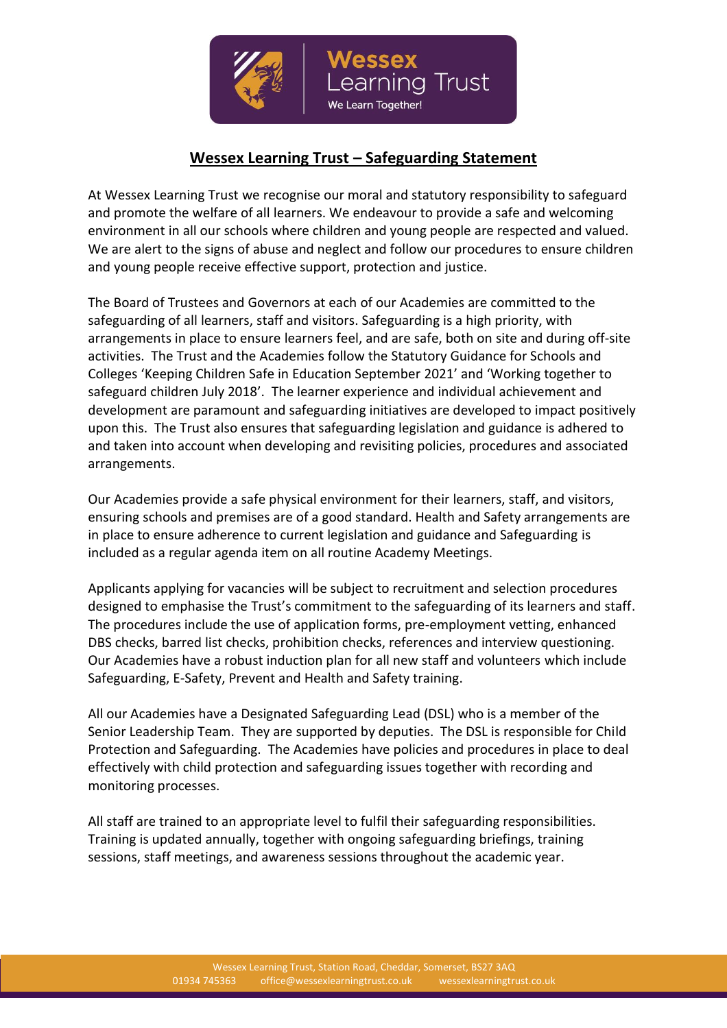

## **Wessex Learning Trust – Safeguarding Statement**

At Wessex Learning Trust we recognise our moral and statutory responsibility to safeguard and promote the welfare of all learners. We endeavour to provide a safe and welcoming environment in all our schools where children and young people are respected and valued. We are alert to the signs of abuse and neglect and follow our procedures to ensure children and young people receive effective support, protection and justice.

The Board of Trustees and Governors at each of our Academies are committed to the safeguarding of all learners, staff and visitors. Safeguarding is a high priority, with arrangements in place to ensure learners feel, and are safe, both on site and during off-site activities. The Trust and the Academies follow the Statutory Guidance for Schools and Colleges 'Keeping Children Safe in Education September 2021' and 'Working together to safeguard children July 2018'. The learner experience and individual achievement and development are paramount and safeguarding initiatives are developed to impact positively upon this. The Trust also ensures that safeguarding legislation and guidance is adhered to and taken into account when developing and revisiting policies, procedures and associated arrangements.

Our Academies provide a safe physical environment for their learners, staff, and visitors, ensuring schools and premises are of a good standard. Health and Safety arrangements are in place to ensure adherence to current legislation and guidance and Safeguarding is included as a regular agenda item on all routine Academy Meetings.

Applicants applying for vacancies will be subject to recruitment and selection procedures designed to emphasise the Trust's commitment to the safeguarding of its learners and staff. The procedures include the use of application forms, pre-employment vetting, enhanced DBS checks, barred list checks, prohibition checks, references and interview questioning. Our Academies have a robust induction plan for all new staff and volunteers which include Safeguarding, E-Safety, Prevent and Health and Safety training.

All our Academies have a Designated Safeguarding Lead (DSL) who is a member of the Senior Leadership Team. They are supported by deputies. The DSL is responsible for Child Protection and Safeguarding. The Academies have policies and procedures in place to deal effectively with child protection and safeguarding issues together with recording and monitoring processes.

All staff are trained to an appropriate level to fulfil their safeguarding responsibilities. Training is updated annually, together with ongoing safeguarding briefings, training sessions, staff meetings, and awareness sessions throughout the academic year.